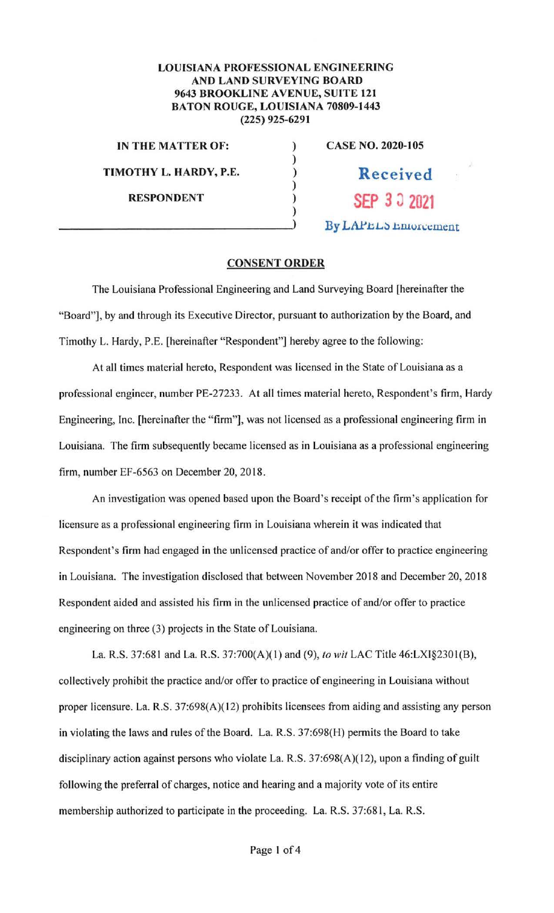## **LOUISIANA PROFESSIONAL ENGINEERING AND LAND SURVEYING BOARD 9643 BROOKLINE AVENUE, SUITE 121 BATON ROUGE, LOUISIANA 70809-1443 (225} 925-6291**

) ) ) ) ) )

**IN THE MATTER OF: TIMOTHY L. HARDY, P.E. RESPONDENT** 

**CASE NO. 2020-105 Received** 

**SEP** *3* ~ **<sup>2021</sup>**

By LAPEL<sub>S</sub> Enforcement

## **CONSENT ORDER**

The Louisiana Professional Engineering and Land Surveying Board [hereinafter the "Board"], by and through its Executive Director, pursuant to authorization by the Board, and Timothy L. Hardy, P.E. [hereinafter "Respondent"] hereby agree to the following:

At all times material hereto, Respondent was licensed in the State of Louisiana as a professional engineer, number PE-27233. At all times material hereto, Respondent's firm, Hardy Engineering, Inc. [hereinafter the "firm"], was not licensed as a professional engineering firm in Louisiana. The firm subsequently became licensed as in Louisiana as a professional engineering firm, number EF-6563 on December 20, 2018.

An investigation was opened based upon the Board's receipt of the firm 's application for licensure as a professional engineering firm in Louisiana wherein it was indicated that Respondent's firm had engaged in the unlicensed practice of and/or offer to practice engineering in Louisiana. The investigation disclosed that between November 20 18 and December 20, 2018 Respondent aided and assisted his firm in the unlicensed practice of and/or offer to practice engineering on three (3) projects in the State of Louisiana.

La. R.S. 37:681 and La. R.S. 37:700(A)( I) and (9), *to wit* LAC Title 46:LXI§2301(B), collectively prohibit the practice and/or offer to practice of engineering in Louisiana without proper licensure. La. R.S. 37:698(A)(12) prohibits licensees from aiding and assisting any person in violating the laws and rules of the Board. La. R.S. 37:698(H) permits the Board to take disciplinary action against persons who violate La. R.S. 37:698(A)( 12), upon a finding of guilt following the preferral of charges, notice and hearing and a majority vote of its entire membership authorized to participate in the proceeding. La. R.S. 37:68 1, La. R.S.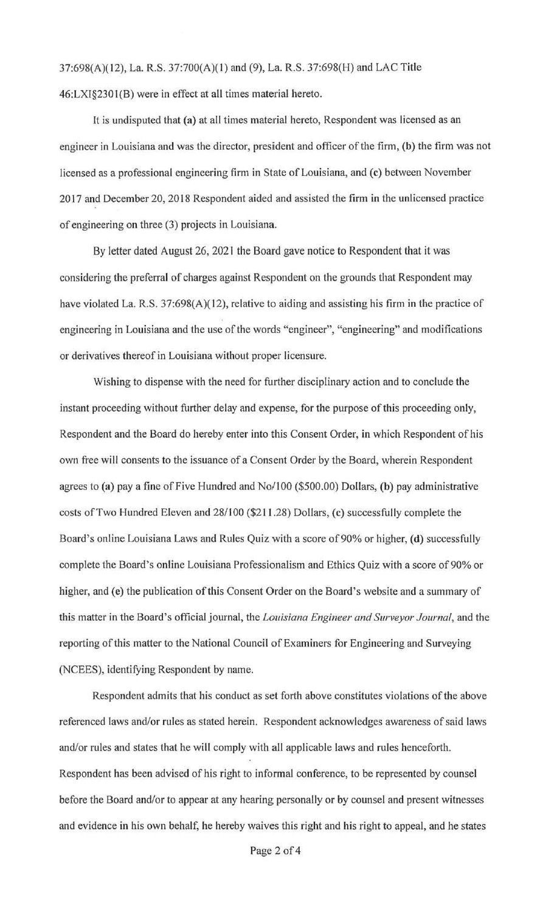37:698(A)(l2), La. R.S. 37:700(A)(l) and (9), La. R.S. 37:698(H) and LAC Title 46:LXI§230I(B) were in effect at all times material hereto.

It is undisputed that (a} at all times material hereto, Respondent was licensed as an engineer in Louisiana and was the director, president and officer of the firm, (b) the firm was not licensed as a professional engineering firm in State of Louisiana, and (c) between November 2017 and December 20, 2018 Respondent aided and assisted the firm in the unlicensed practice of engineering on three (3) projects in Louisiana.

By letter dated August 26, 2021 the Board gave notice to Respondent that it was considering the preferral of charges against Respondent on the grounds that Respondent may have violated La. R.S. 37:698(A)(12), relative to aiding and assisting his firm in the practice of engineering in Louisiana and the use of the words "engineer", "engineering" and modifications or derivatives thereof in Louisiana without proper licensure.

Wishing to dispense with the need for further disciplinary action and to conclude the instant proceeding without further delay and expense, for the purpose of this proceeding only, Respondent and the Board do hereby enter into this Consent Order, in which Respondent of his own free will consents to the issuance of a Consent Order by the Board, wherein Respondent agrees to **(a)** pay a fine of Five Hundred and No/100 (\$500.00) Dollars, **(b)** pay administrative costs of Two Hundred Eleven and 28/100 (\$211.28) Dollars, ( **c)** successfully complete the Board's online Louisiana Laws and Rules Quiz with a score of 90% or higher, **(d)** successfully complete the Board's online Louisiana Professionalism and Ethics Quiz with a score of 90% or higher, and (e) the publication of this Consent Order on the Board's website and a summary of this matter in the Board's official journal, the *Louisiana Engineer and Surveyor Journal,* and the reporting of this matter to the National Council of Examiners for Engineering and Surveying (NCEES), identifying Respondent by name.

Respondent admits that his conduct as set forth above constitutes violations of the above referenced laws and/or rules as stated herein. Respondent acknowledges awareness of said laws and/or rules and states that he will comply with all applicable laws and rules henceforth. Respondent has been advised of his right to informal conference, to be represented by counsel before the Board and/or to appear at any hearing personally or by counsel and present witnesses and evidence in his own behalf, he hereby waives this right and his right to appeal, and he states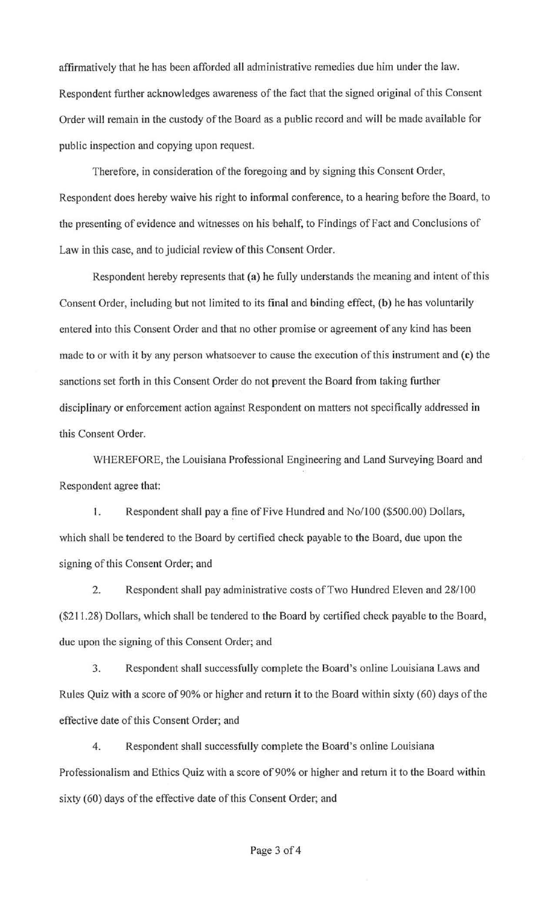affirmatively that he has been afforded all administrative remedies due him under the law. Respondent further acknowledges awareness of the fact that the signed original of this Consent Order will remain in the custody of the Board as a public record and will be made available for public inspection and copying upon request.

Therefore, in consideration of the foregoing and by signing this Consent Order, Respondent does hereby waive his right to informal conference, to a hearing before the Board, to the presenting of evidence and witnesses on his behalf, to Findings of Fact and Conclusions of Law in this case, and to judicial review of this Consent Order.

Respondent hereby represents that (a) he fully understands the meaning and intent of this Consent Order, including but not limited to its final and binding effect, **(b)** he has voluntarily entered into this Consent Order and that no other promise or agreement of any kind has been made to or with it by any person whatsoever to cause the execution of this instrument and (c) the sanctions set forth in this Consent Order do not prevent the Board from taking further disciplinary or enforcement action against Respondent on matters not specifically addressed in this Consent Order.

WHEREFORE, the Louisiana Professional Engineering and Land Surveying Board and Respondent agree that:

1. Respondent shall pay a fine of Five Hundred and No/100 (\$500.00) Dollars, which shall be tendered to the Board by certified check payable to the Board, due upon the signing of this Consent Order; and

2. Respondent shall pay administrative costs of Two Hundred Eleven and 28/100 (\$211.28) Dollars, which shall be tendered to the Board by certified check payable to the Board, due upon the signing of this Consent Order; and

3. Respondent shall successfully complete the Board's online Louisiana Laws and Rules Quiz with a score of 90% or higher and return it to the Board within sixty (60) days of the effective date of this Consent Order; and

4. Respondent shall successfully complete the Board's online Louisiana Professionalism and Ethics Quiz with a score of 90% or higher and return it to the Board within sixty (60) days of the effective date of this Consent Order; and